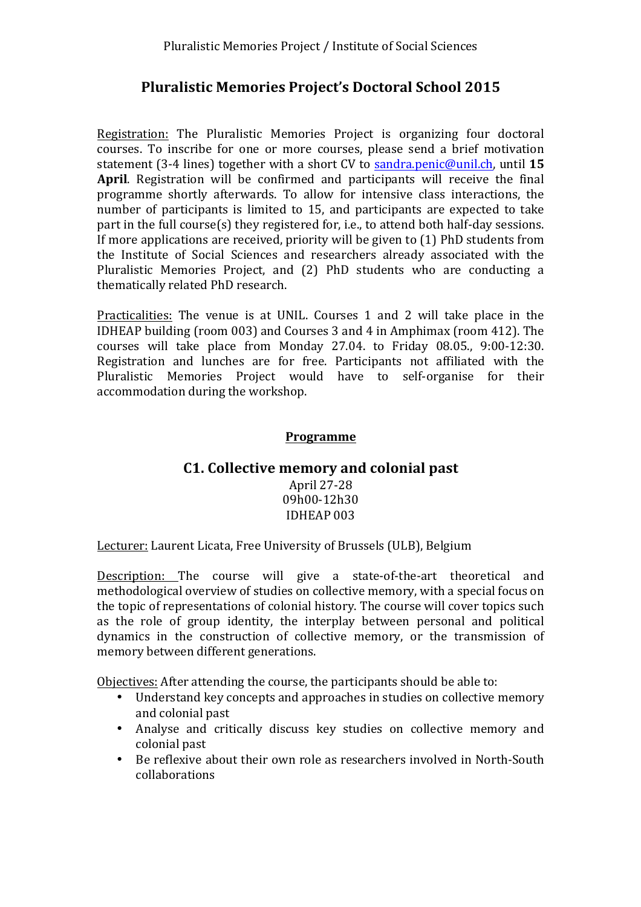# **Pluralistic Memories Project's Doctoral School 2015**

Registration: The Pluralistic Memories Project is organizing four doctoral courses. To inscribe for one or more courses, please send a brief motivation statement (3-4 lines) together with a short CV to sandra.penic@unil.ch, until 15 **April.** Registration will be confirmed and participants will receive the final programme shortly afterwards. To allow for intensive class interactions, the number of participants is limited to 15, and participants are expected to take part in the full course(s) they registered for, i.e., to attend both half-day sessions. If more applications are received, priority will be given to  $(1)$  PhD students from the Institute of Social Sciences and researchers already associated with the Pluralistic Memories Project, and (2) PhD students who are conducting a thematically related PhD research.

Practicalities: The venue is at UNIL. Courses 1 and 2 will take place in the IDHEAP building (room 003) and Courses 3 and 4 in Amphimax (room 412). The courses will take place from Monday 27.04. to Friday 08.05.,  $9:00-12:30$ . Registration and lunches are for free. Participants not affiliated with the Pluralistic Memories Project would have to self-organise for their accommodation during the workshop.

#### **Programme**

### **C1. Collective memory and colonial past**

April 27-28 09h00-12h30 IDHEAP 003

Lecturer: Laurent Licata, Free University of Brussels (ULB), Belgium

Description: The course will give a state-of-the-art theoretical and methodological overview of studies on collective memory, with a special focus on the topic of representations of colonial history. The course will cover topics such as the role of group identity, the interplay between personal and political dynamics in the construction of collective memory, or the transmission of memory between different generations.

Objectives: After attending the course, the participants should be able to:

- Understand key concepts and approaches in studies on collective memory and colonial past
- Analyse and critically discuss key studies on collective memory and colonial past
- Be reflexive about their own role as researchers involved in North-South collaborations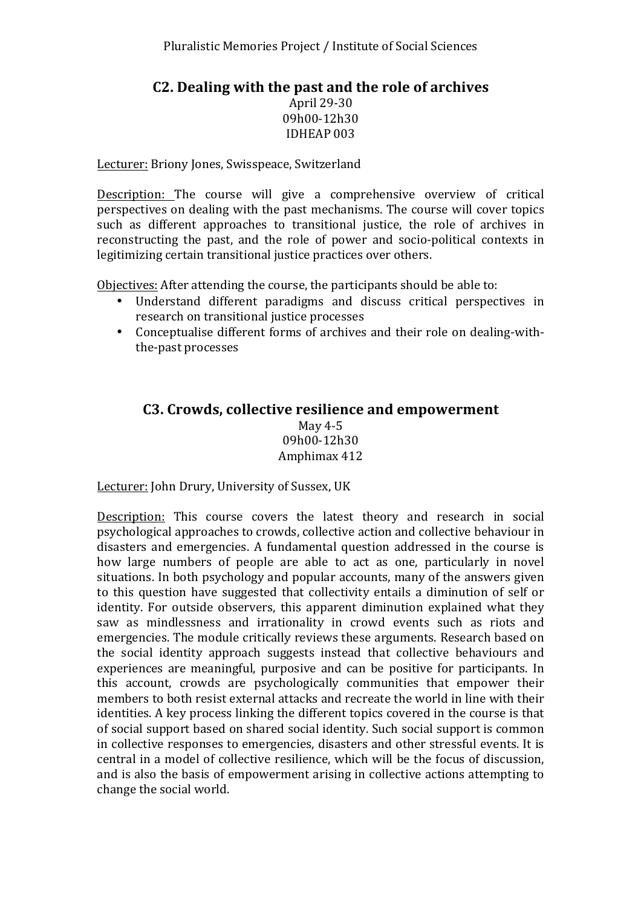### **C2. Dealing with the past and the role of archives**

April 29-30 09h00-12h30 IDHEAP 003

Lecturer: Briony Jones, Swisspeace, Switzerland

Description: The course will give a comprehensive overview of critical perspectives on dealing with the past mechanisms. The course will cover topics such as different approaches to transitional justice, the role of archives in reconstructing the past, and the role of power and socio-political contexts in legitimizing certain transitional justice practices over others.

Objectives: After attending the course, the participants should be able to:

- Understand different paradigms and discuss critical perspectives in research on transitional justice processes
- Conceptualise different forms of archives and their role on dealing-withthe-past processes

### **C3. Crowds, collective resilience and empowerment** May  $4-5$ 09h00-12h30 Amphimax 412

Lecturer: John Drury, University of Sussex, UK

Description: This course covers the latest theory and research in social psychological approaches to crowds, collective action and collective behaviour in disasters and emergencies. A fundamental question addressed in the course is how large numbers of people are able to act as one, particularly in novel situations. In both psychology and popular accounts, many of the answers given to this question have suggested that collectivity entails a diminution of self or identity. For outside observers, this apparent diminution explained what they saw as mindlessness and irrationality in crowd events such as riots and emergencies. The module critically reviews these arguments. Research based on the social identity approach suggests instead that collective behaviours and experiences are meaningful, purposive and can be positive for participants. In this account, crowds are psychologically communities that empower their members to both resist external attacks and recreate the world in line with their identities. A key process linking the different topics covered in the course is that of social support based on shared social identity. Such social support is common in collective responses to emergencies, disasters and other stressful events. It is central in a model of collective resilience, which will be the focus of discussion, and is also the basis of empowerment arising in collective actions attempting to change the social world.